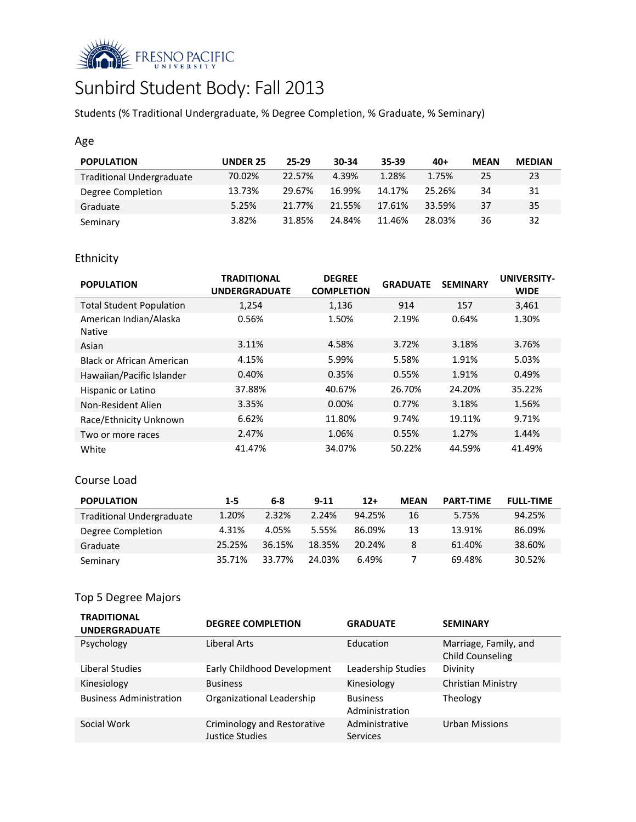

# Sunbird Student Body: Fall 2013

Students (% Traditional Undergraduate, % Degree Completion, % Graduate, % Seminary)

## Age

| <b>POPULATION</b>                | <b>UNDER 25</b> | 25-29  | 30-34  | 35-39  | $40+$  | <b>MEAN</b> | <b>MEDIAN</b> |
|----------------------------------|-----------------|--------|--------|--------|--------|-------------|---------------|
| <b>Traditional Undergraduate</b> | 70.02%          | 22.57% | 4.39%  | 1.28%  | 1.75%  | 25          | 23            |
| Degree Completion                | 13.73%          | 29.67% | 16.99% | 14.17% | 25.26% | 34          | 31            |
| Graduate                         | 5.25%           | 21.77% | 21.55% | 17.61% | 33.59% | 37          | 35            |
| Seminary                         | 3.82%           | 31.85% | 24.84% | 11.46% | 28.03% | 36          | 32            |

# Ethnicity

| <b>POPULATION</b>                       | <b>TRADITIONAL</b><br><b>UNDERGRADUATE</b> | <b>DEGREE</b><br><b>COMPLETION</b> | <b>GRADUATE</b> | <b>SEMINARY</b> | <b>UNIVERSITY-</b><br><b>WIDE</b> |
|-----------------------------------------|--------------------------------------------|------------------------------------|-----------------|-----------------|-----------------------------------|
| <b>Total Student Population</b>         | 1,254                                      | 1,136                              | 914             | 157             | 3,461                             |
| American Indian/Alaska<br><b>Native</b> | 0.56%                                      | 1.50%                              | 2.19%           | 0.64%           | 1.30%                             |
| Asian                                   | 3.11%                                      | 4.58%                              | 3.72%           | 3.18%           | 3.76%                             |
| Black or African American               | 4.15%                                      | 5.99%                              | 5.58%           | 1.91%           | 5.03%                             |
| Hawaiian/Pacific Islander               | 0.40%                                      | 0.35%                              | 0.55%           | 1.91%           | 0.49%                             |
| Hispanic or Latino                      | 37.88%                                     | 40.67%                             | 26.70%          | 24.20%          | 35.22%                            |
| Non-Resident Alien                      | 3.35%                                      | $0.00\%$                           | 0.77%           | 3.18%           | 1.56%                             |
| Race/Ethnicity Unknown                  | 6.62%                                      | 11.80%                             | 9.74%           | 19.11%          | 9.71%                             |
| Two or more races                       | 2.47%                                      | 1.06%                              | 0.55%           | 1.27%           | 1.44%                             |
| White                                   | 41.47%                                     | 34.07%                             | 50.22%          | 44.59%          | 41.49%                            |

## Course Load

| <b>POPULATION</b>                | $1 - 5$ | 6-8    | $9 - 11$ | $12+$  | <b>MEAN</b> | <b>PART-TIME</b> | <b>FULL-TIME</b> |
|----------------------------------|---------|--------|----------|--------|-------------|------------------|------------------|
| <b>Traditional Undergraduate</b> | 1.20%   | 2.32%  | 2.24%    | 94.25% | 16          | 5.75%            | 94.25%           |
| Degree Completion                | 4.31%   | 4.05%  | 5.55%    | 86.09% | 13          | 13.91%           | 86.09%           |
| Graduate                         | 25.25%  | 36.15% | 18.35%   | 20.24% | 8           | 61.40%           | 38.60%           |
| Seminary                         | 35.71%  | 33.77% | 24.03%   | 6.49%  |             | 69.48%           | 30.52%           |

# Top 5 Degree Majors

| <b>TRADITIONAL</b><br><b>UNDERGRADUATE</b> | <b>DEGREE COMPLETION</b>                       | <b>GRADUATE</b>                   | <b>SEMINARY</b>                                  |
|--------------------------------------------|------------------------------------------------|-----------------------------------|--------------------------------------------------|
| Psychology                                 | Liberal Arts                                   | Education                         | Marriage, Family, and<br><b>Child Counseling</b> |
| Liberal Studies                            | Early Childhood Development                    | Leadership Studies                | Divinity                                         |
| Kinesiology                                | <b>Business</b>                                | Kinesiology                       | Christian Ministry                               |
| <b>Business Administration</b>             | Organizational Leadership                      | <b>Business</b><br>Administration | Theology                                         |
| Social Work                                | Criminology and Restorative<br>Justice Studies | Administrative<br><b>Services</b> | <b>Urban Missions</b>                            |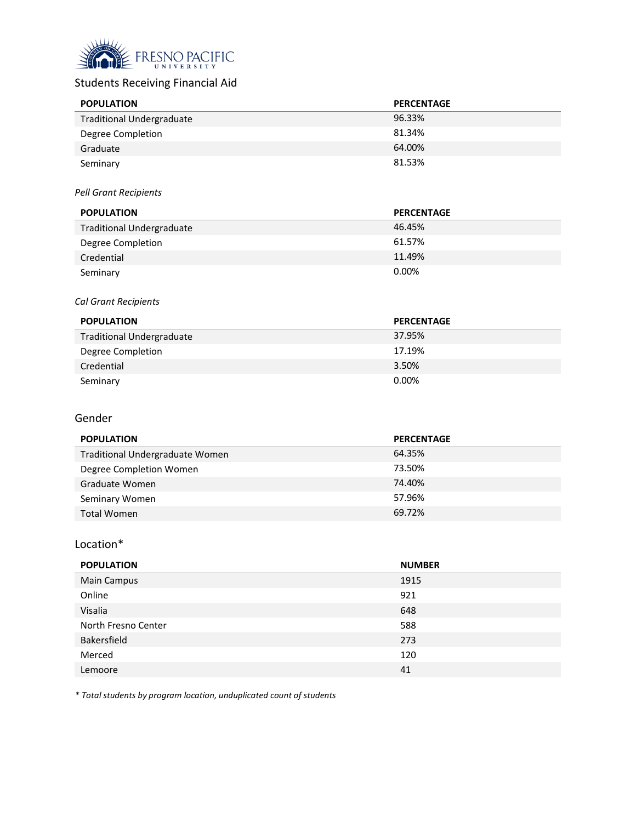

# Students Receiving Financial Aid

| <b>POPULATION</b>                | <b>PERCENTAGE</b> |
|----------------------------------|-------------------|
| <b>Traditional Undergraduate</b> | 96.33%            |
| Degree Completion                | 81.34%            |
| Graduate                         | 64.00%            |
| Seminary                         | 81.53%            |

#### *Pell Grant Recipients*

| <b>POPULATION</b>                | <b>PERCENTAGE</b> |
|----------------------------------|-------------------|
| <b>Traditional Undergraduate</b> | 46.45%            |
| Degree Completion                | 61.57%            |
| Credential                       | 11.49%            |
| Seminary                         | $0.00\%$          |

#### *Cal Grant Recipients*

| <b>POPULATION</b>                | <b>PERCENTAGE</b> |
|----------------------------------|-------------------|
| <b>Traditional Undergraduate</b> | 37.95%            |
| Degree Completion                | 17.19%            |
| Credential                       | 3.50%             |
| Seminary                         | $0.00\%$          |

## Gender

| <b>POPULATION</b>               | <b>PERCENTAGE</b> |
|---------------------------------|-------------------|
| Traditional Undergraduate Women | 64.35%            |
| Degree Completion Women         | 73.50%            |
| Graduate Women                  | 74.40%            |
| Seminary Women                  | 57.96%            |
| Total Women                     | 69.72%            |

## Location\*

| <b>POPULATION</b>   | <b>NUMBER</b> |
|---------------------|---------------|
| Main Campus         | 1915          |
| Online              | 921           |
| Visalia             | 648           |
| North Fresno Center | 588           |
| Bakersfield         | 273           |
| Merced              | 120           |
| Lemoore             | 41            |

*\* Total students by program location, unduplicated count of students*